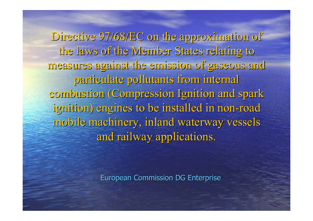Directive 97/68/EC on the approximation of the laws of the Member States relating to measures against the emission of gaseous and measures against the emission of gaseous and particulate pollutants from internal combustion (Compression Ignition and spark ignition) engines to be installed in non-road mobile machinery, inland waterway vessels and railway applications.

European Commission DG Enterprise European Commission DG Enterprise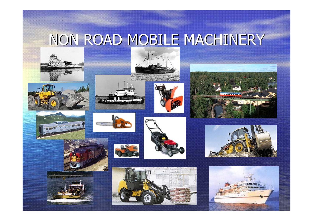# NON ROAD MOBILE MACHINERY



























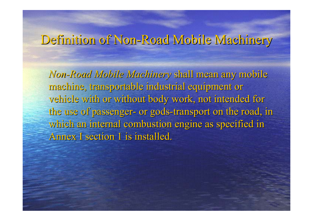# Definition of Non-Road Mobile Machinery

*Non-Road Mobile Machinery Mobile Machinery* shall mean any mobile machine, transportable industrial equipment or vehicle with or without body work, not intended for the use of passenger- or gods-transport on the road, in which an internal combustion engine as specified in Annex I section 1 is installed.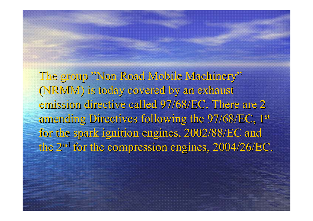The group "Non Road Mobile Machinery" (NRIVIVI) is today covered by an exhaust emission directive called 97/68/EC. There are 2 amending Directives following the 97/68/EC, 1st for the spark ignition engines, 2002/88/EC and the 2<sup>nd</sup> for the compression engines, 2004/26/EC.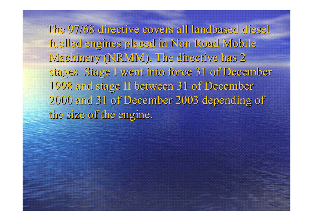The 97/68 directive covers all landbased diesel fuelled engines placed in Non Road Mobile Machinery (NRIVIVI). The directive has 2 stages. Stage I went into force 31 of December 1998 and stage II between 31 of December 1998 and stage II between 31 of December 2000 and 31 of December 2003 depending of 2000 and 31 of December 2003 depending of the size of the engine.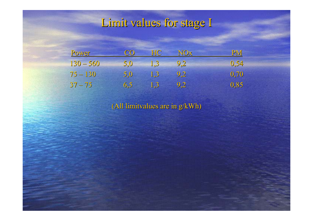# Limit values for stage I

| Power       | CO.              | <b>HC</b>          | NOx | PM   |
|-------------|------------------|--------------------|-----|------|
| $130 - 560$ | 5.0 <sub>1</sub> | $\blacksquare$ 1.3 | 9,2 | 0,54 |
| $75 - 130$  | 5,0              | $\sqrt{1,3}$       | 9,2 | 0,70 |
| $37 - 75$   | 6,5              | 1,3                | 9,2 | 0,85 |

(All limitvalues are in g/kWh) (All limitvalues are in g/kWh)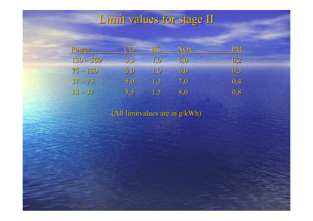#### Limit values for stage II

| Power       | <b>CO</b> | HC. | NOx | <b>PM</b> |
|-------------|-----------|-----|-----|-----------|
| $130 - 560$ | 3,5       | 1.0 | 6.0 | 0.2       |
| $75 - 130$  | 5,0       | 1.0 | 6.0 | 0,3       |
| $37 - 75$   | 5,0       | 1.3 | 7.0 | 0,4       |
| $18 - 37$   | 5,5       | 1.5 | 8,0 | 0,8       |

(All limitvalues are in g/kWh) (All limitvalues are in g/kWh)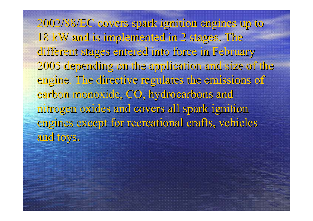2002/88/EC covers spark ignition engines up to 2002/88/EC covers spark ignition engines up to 18 kW and is implemented in 2 stages. The different stages entered into force in February different stages entered into force in February 2005 depending on the application and size of the 2005 depending on the application and size of the engine. The directive regulates the emissions of carbon monoxide, CO, hydrocarbons and nitrogen oxides and covers all spark ignition nitrogen oxides and covers all spark ignition engines except for recreational crafts, vehicles and toys.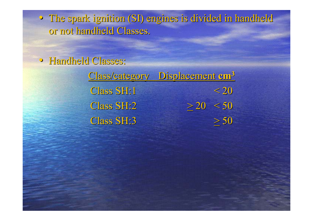• The spark ignition (SI) engines is divided in handheld or not handheld Classes.

• Handheld Classes:

Class/category Class/category Displacement Displacement **cm<sup>3</sup>** Class SH:1  $< 20$  $C$  ass  $SH:2$  $2 \quad > 20 \quad < 50$  $C$ lass SH:3  $> 50$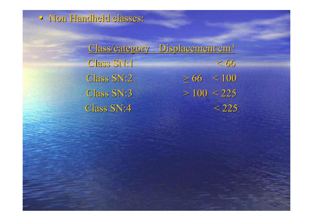

Class/category Displacement cm<sup>3</sup>  $C$ lass  $S$ N:1  $< 66$ Class SN:2  $2 \t > 66 \t < 100$ Class SN:3  $> 100 < 225$ Class SN:4  $< 225$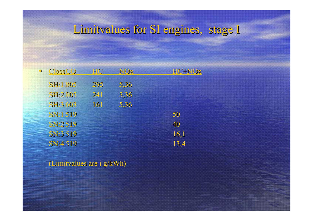### Limitvalues for SI engines, stage I

| <b>Class CO</b> | HC. | NOx  | HC+NOx |
|-----------------|-----|------|--------|
| <b>SH:1805</b>  | 295 | 5,36 |        |
| <b>SH:2 805</b> | 241 | 5,36 |        |
| <b>SH:3 603</b> | 161 | 5.36 |        |
| SN:1 519        |     |      | 50     |
| SN:2 519        |     |      | 40     |
| SN:3 519        |     |      | 16,1   |
| <b>SN:4519</b>  |     |      | 13,4   |
|                 |     |      |        |

(Limitvalues are i g/kWh) (Limitvalues are i g/kWh)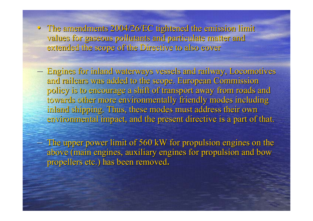• The amendments  $2004/26/EC$  tightened the emission limit values for gaseous pollutants and particulate matter and extended the scope of the Directive to also cover

– –

– –

- Engines for inland waterways vessels and railway, Locomotives and railcars was added to the scope. European Commission policy is to encourage a shift of transport away from roads and towards other more environmentally friendly modes including inland shipping. Thus, these modes must address their own environmental impact, and the present directive is a part of that.
- $-$  The upper power limit of 560 kW for propulsion engines on the above (main engines, auxiliary engines for propulsion and bow propellers etc.) has been removed.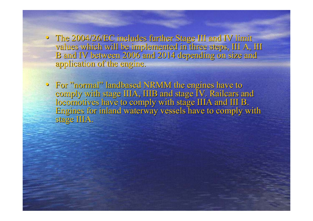- The 2004/26/EC includes further Stage III and IV limit values which will be implemented in three steps, III A, III B and IV between 2006 and 2014 depending on size and application of the engine.
- For "normal" landbased NRMM the engines have to comply with stage IIIA, IIIB and stage IV. Railcars and locomotives have to comply with stage IIIA and III B. Engines for inland waterway vessels have to comply with Engines for inland waterway vessels have to comply with stage IIIA.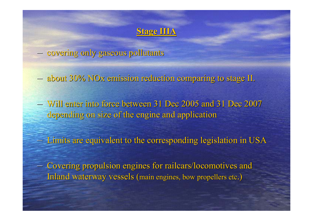

covering only gaseous pollutants covering only gaseous pollutants

– –

– –

– – $-$  about 30% NOx emission reduction comparing to stage II.

– – Will enter into force between 31 Dec 2005 and 31 Dec 2007 Will enter into force between 31 Dec 2005 and 31 Dec 2007 depending on size of the engine and application

– –- Limits are equivalent to the corresponding legislation in USA

- Covering propulsion engines for railcars/locomotives and Inland waterway vessels (main engines, bow propellers etc.)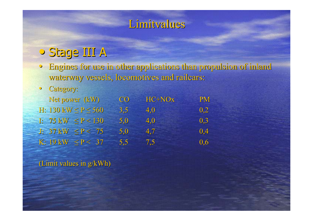### Limitvalues

# • Stage III A Stage III A

• Engines for use in other applications than propulsion of inland waterway vessels, locomotives and railcars:

#### $\bigcirc$ Category:

| Net power (kW)                | CO <sub>1</sub> | $HC+NOx$ | <b>PM</b>                   |
|-------------------------------|-----------------|----------|-----------------------------|
| H: $130$ kW $\leq P \leq 560$ | 3,5             | 4,0      | 0.2                         |
| I: $75$ kW $\leq P < 130$     | 5.0             | 4.0      | $\overline{\mathbf{0}}$ , 3 |
| J: $37$ kW $\leq P < 75$      | 5.0             | 4.7      | 0,4                         |
| $K: 19 kW \leq P < 37$        | 5,5             | 7,5      | 0,6                         |

(Limit values in g/kWh)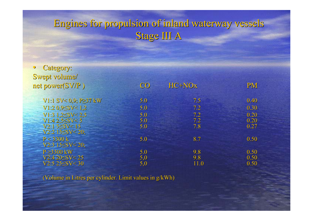### Engines for propulsion of inland waterway vessels Engines for propulsion of inland waterway vessels Stage III A

| • Category:                    |                   |        |           |
|--------------------------------|-------------------|--------|-----------|
| Swept volume/                  |                   |        |           |
| net power(SV/P)                | CO                | HC+NOx | <b>PM</b> |
|                                |                   |        |           |
| $V1:1$ SV< 0.9; P $\geq$ 37 kW | 5.0               | 7.5    | 0.40      |
| $V1:2 0.95$ SV< 1,2            | 5.0               | 7.2    | 0.30      |
| $V1:3$ 1,2 $\leq$ SV $<$ 2,5   | 5.0               | 7.2    | 0.20      |
| $V1:42,5\leq SV < 5$           | 5.0               | 7.2    | 0.20      |
| $V2:15 \leq SV 15$             | 5.0               | 7.8    | 0.27      |
| $V2:2$ 15 $\leq$ SV $<$ 20;    |                   |        |           |
| P < 3300 k                     | 5.0               | 8.7    | 0.50      |
| $V2:3$ 15 $\leq$ SV $<$ 20;    |                   |        |           |
| $P \geq 3300$ kW               | 5.0               | 9.8    | 0.50      |
| $V2:420 \leq SV \leq 25$       | $\frac{5,0}{5,0}$ | 9.8    | 0.50      |
| $V2:5 25 \leq SV \leq 30$      |                   | 11.0   | 0.50      |

(Volume in Litres per cylinder. Limit values in g/kWh)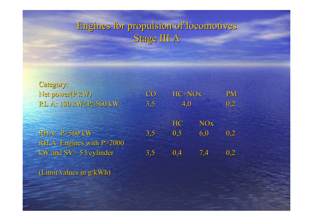### Engines for propulsion of locomotives Engines for propulsion of locomotives Stage III A

Category: RL A: 130 kW≤P≤560 kW

RHA: P>560 kWRH A Engines with P>2000

Net power(P kW) CO HC+NOx PM W  $3,5$   $4,0$   $0,2$ **HC**  NOx W  $3,5$   $0,5$   $6,0$   $0,2$ kW and  $SV > 5$  l/cylinder 3,5 0,4 7,4 0,2

(Limit values in  $g/kWh$ )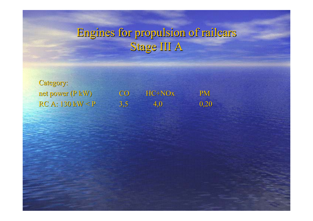# Engines for propulsion of railcars Engines for propulsion of railcars Stage III A

Category:  $RC A: 130$  kW  $\leq P$ 

net power (P kW) CO HC+NOx PM  $3,5$  4,0 0,20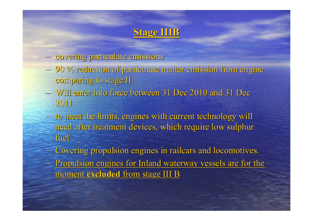### **Stage IIIB Stage IIIB**

- –covering particulate emissions covering particulate emissions
- – $-$  90 % reduction of particulate matter emission from engine comparing to stage II
- $-$  Will enter into force between 31 Dec 2010 and 31 Dec 2011
- –- to meet the limits, engines with current technology will need after treatment devices, which require low sulphur fuel
- –- Covering propulsion engines in railcars and locomotives.
- –- Propulsion engines for Inland waterway vessels are for the <u>moment **excluded** from stage III B</u>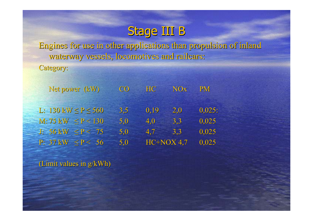# Stage III B

Engines for use in other applications than propulsion of inland waterway vessels, locomotives and railcars:

Category:

| Net power (kW)                | CO  | NO <sub>x</sub><br>HC <sup>1</sup> | <b>PM</b> |
|-------------------------------|-----|------------------------------------|-----------|
| $L: 130$ kW $\leq P \leq 560$ | 3,5 | 0.19<br>2,0                        | 0,025:    |
| $M: 75 kW \le P < 130$        | 5.0 | 4,0<br>3,3                         | 0,025     |
| $J: 56kW \leq P < 75$         | 5.0 | 4.7<br>3,3                         | 0,025     |
| P: $37$ kW $\leq P < 56$      | 5,0 | $HC+NOX$ 4,7                       | 0,025     |

(Limit values in  $g/kWh$ )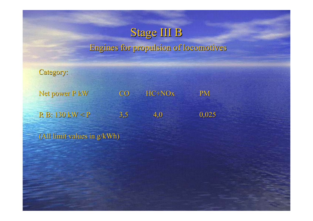

### Engines for propulsion of locomotives Engines for propulsion of locomotives

Category:

Net power P kW CO HC+NOx PM R B:  $130 \text{ kW} < \text{P}$   $3,5$   $4,0$   $0,025$ 

(All limit values in g/kWh)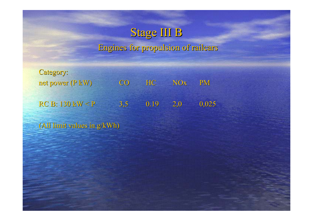### Stage III B

#### Engines for propulsion of railcars Engines for propulsion of railcars

Category: net power (P kW) co HC NOx PM  $RCB:130~kW < P$ 3,5 0.19 2,0 0,025

(All limit values in g/kWh) (All limit values in g/kWh)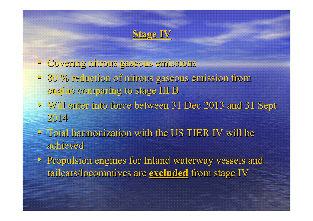### **Stage IV Stage IV**

- Covering nitrous gaseous emissions Covering nitrous gaseous emissions
- 80 % reduction of nitrous gaseous emission from 80 % reduction of nitrous gaseous emission from engine comparing to stage III B
- Will enter into force between 31 Dec 2013 and 31 Sept 2014
- $\bullet$  Total harmonization with the US TIER IV will be achieved
- Propulsion engines for Inland waterway vessels and railcars/locomotives are <u>excluded</u> from stage IV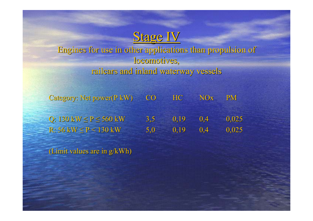### Stage IV

Engines for use in other applications than propulsion of Engines for use in other applications than propulsion of locomotives, railcars and inland waterway vessels railcars and inland waterway vessels

Category: Net power(P kW) CO HC NOx PM Q:  $130 \text{ kW} \le P \le 560 \text{ kW}$  3,5 0,19 0,4 0,025  $R: 56$  kW  $\leq P < 130$  kW 5,0 0,19 0,4 0,025

(Limit values are in  $g/kWh$ )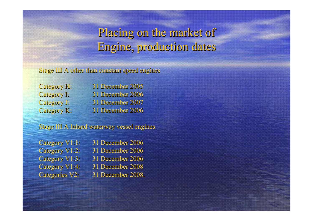## Placing on the market of Engine, production dates

Stage III A other than constant speed engines

Category H: 31 December 2005 Category I: 31 December 2006 Category J: 31 December 2007 Category K: 31 December 2006

Stage III A Inland waterway vessel engines

| Category V1:1:        | 31 |
|-----------------------|----|
| Category V1:2:        | 31 |
| Category V1:3:        | 31 |
| Category V1:4:        | 31 |
| <b>Categories V2:</b> | 31 |

December 2006 December 2006 December 2006 December 2008 December 2008.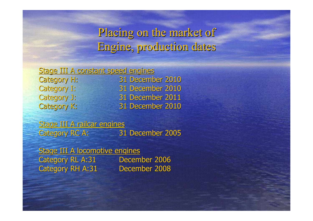### Placing on the market of Engine, production dates

#### Stage III A constant speed engines

Category H: 31 December 2010 Category I: 31 December 2010 Category J: 31 December 2011 Category K: 31 December 2010

Stage III A railcar engines Category RC A: 31 December 2005

Stage III A locomotive engines Category RL A:31 December 2006 Category RH A:31 December 2008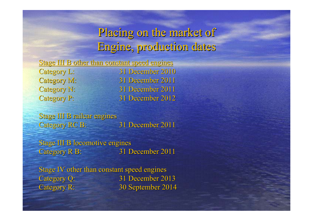### Placing on the market of Engine, production dates

|                    | Stage III B other than constant speed engines |
|--------------------|-----------------------------------------------|
| <b>Category L:</b> | 31 December 2010                              |
| <b>Category M:</b> | 31 December 2011                              |
| <b>Category N:</b> | 31 December 2011                              |
| <b>Category P:</b> | 31 December 2012                              |

Stage III B railcar engines Category RC B: 31 December 2011

Stage III B locomotive engines Category R B: 31 December 2011

Stage IV other than constant speed engines Category Q: 31 December 2013 Category R: Category R: 30 September 2014 30 September 2014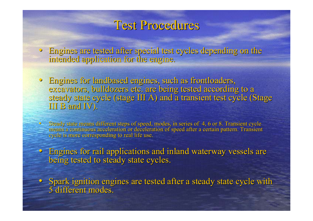### Test Procedures

- Engines are tested after special test cycles depending on the intended application for the engine.
- Engines for landbased engines, such as frontloaders, excavators, bulldozers etc. are being tested according to a steady state cycle (stage III A) and a transient test cycle (Stage III B and IV).
- $\rm{C}$ Steady state means different steps of speed, modes, in series of 4, 6 or 8. Transient cycle means a continuous acceleration or deceleration of speed after a certain pattern. Transient cycle is more corresponding to real life use.
- Engines for rail applications and inland waterway vessels are being tested to steady state cycles.
- Spark ignition engines are tested after a steady state cycle with 5 different modes. 5 different modes.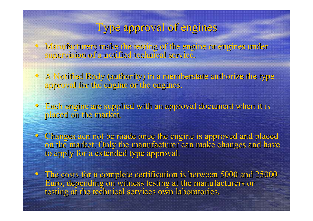### Type approval of engines

- Manufacturers make the testing of the engine or engines under supervision of a notified technical service.
- A Notified Body (authority) in a memberstate authorize the type approval for the engine or the engines.
- Each engine are supplied with an approval document when it is placed on the market.
- $\bullet$  Changes acn not be made once the engine is approved and placed on the market. Only the manufacturer can make changes and have to apply for a extended type approval.
- The costs for a complete certification is between 5000 and 25000 Euro, depending on witness testing at the manufacturers or testing at the technical services own laboratories.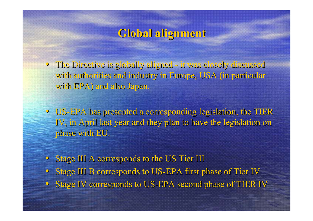### **Global alignment Global alignment**

• The Directive is globally aligned it was closely discussed it was closely discussed with authorities and industry in Europe, USA (in particular with EPA) and also Japan.

- US-EPA has presented a corresponding legislation, the TIER IV, in April last year and they plan to have the legislation on phase with EU.
- Stage III A corresponds to the US Tier III
- Stage III B corresponds to US-EPA first phase of Tier IV
- Stage IV corresponds to US-EPA second phase of TIER IV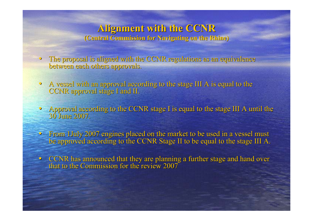#### **Alignment with the CCNR Alignment with the CCNR (Central Commission for Navigating on the Rhine) (Central Commission for Navigating on the Rhine)**

- The proposal is aligned with the CCNR regulations as an equivalence between each others approvals.
- $\bullet$ A vessel with an approval according to the stage III A is equal to the CCNR approval stage I and II.
- Approval according to the CCNR stage I is equal to the stage III A until the 30 June 2007.
- From 1July 2007 engines placed on the market to be used in a vessel must be approved according to the CCNR Stage II to be equal to the stage III A.
- CCNR has announced that they are planning a further stage and hand over that to the Commission for the review 2007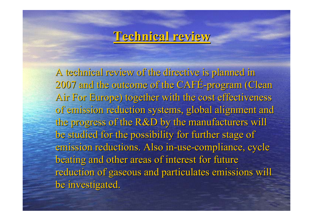### **Technical review Technical review**

A technical review of the directive is planned in 2007 and the outcome of the CAFÉ-program (Clean Air For Europe) together with the cost effectiveness of emission reduction systems, global alignment and the progress of the R&D by the manufacturers will be studied for the possibility for further stage of emission reductions. Also in-use-compliance, cycle beating and other areas of interest for future reduction of gaseous and particulates emissions will be investigated.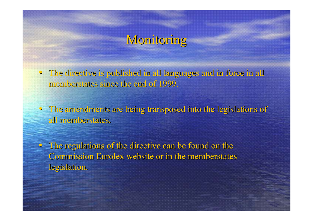# Monitoring

- The directive is published in all languages and in force in all memberstates since the end of 1999.
- The amendments are being transposed into the legislations of all memberstates.
- The regulations of the directive can be found on the Commission Eurolex website or in the memberstates legislation.